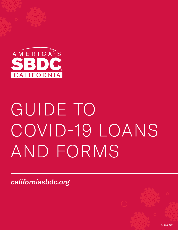

# GUIDE TO COVID-19 LOANS AND FORMS

*[californiasbdc.org](http://californiasbdc.org)*

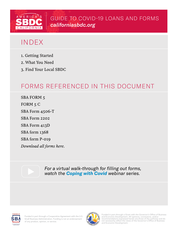

GUIDE TO COVID-19 LOANS AND FORMS *[californiasbdc.org](http://californiasbdc.org)*

### INDEX

- 1. Getting Started
- 2. What You Need
- 3. Find Your Local SBDC

### FORMS REFERENCED IN THIS DOCUMENT

[SBA FORM 5](https://www.norcalsbdc.org//sites/default/files/000cv19_Form5.pdf) [FORM 5 C](https://www.norcalsbdc.org/sites/default/files/000cv19_Form5C_soleprop.pdf) [SBA Form 4506-T](https://www.norcalsbdc.org//sites/default/files/000cv19_f4506t.pdf) [SBA Form 2202](https://www.norcalsbdc.org//sites/default/files/000cv19_ELA0-Liabilities.pdf) [SBA Form 413D](https://www.norcalsbdc.org//sites/default/files/000cv19_ELA0-Personal_Financial_Statement.pdf) [SBA form 1368](https://www.norcalsbdc.org//sites/default/files/000cv19_ELA0-PAL_for_EIDL_0.pdf) [SBA form P-019](https://www.norcalsbdc.org/sites/default/files/000cv19_EIDL_P-019_Add-Info.pdf)  *[Download all forms here.](https://www.norcalsbdc.org/sba-forms-northern-california-sbdc-network#)*

> *For a virtual walk-through for filling out forms, watch the [Coping with Covid](https://www.norcalsbdc.org/coping-covid-19-webinars-northern-california-sbdc-network) webinar series.*





Funded in part through a Grant with the Governor's Office of Business<br>and Economic Development. All opinions, conclusions, and/or<br>recommendations expressed herein are those of the author(s) and do<br>not necessarily reflect t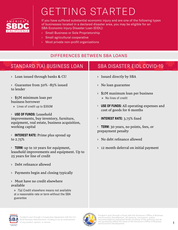

# GETTING STARTED

If you have suffered substantial economic injury and are one of the following types of businesses located in a declared disaster area, you may be eligible for an SBA Economic Injury Disaster Loan (EIDL):

- › Small Business or Sole Proprietorship
- › Small agricultural cooperative
- › Most private non-profit organizations

#### DIFFERENCES BETWEEN SBA LOANS

| STANDARD 7(A) BUSINESS LOAN                                                                                           | <b>SBA DISASTER EIDL COVID-19</b>                                                                                                                            |
|-----------------------------------------------------------------------------------------------------------------------|--------------------------------------------------------------------------------------------------------------------------------------------------------------|
| $>$ Loan issued through banks & CU                                                                                    | > Issued directly by SBA                                                                                                                                     |
| > Guarantee from 50% -85% issued<br>to lender                                                                         | > No loan guarantee                                                                                                                                          |
| $\frac{1}{2}$ \$5M minimum loan per<br>business borrower                                                              | $\frac{1}{2}$ \$2M maximum loan per business<br>» No lines of credit<br>$\rightarrow$ USE OF FUNDS: All operating expenses and<br>cost of goods for 6 months |
| » Lines of credit up to \$350M                                                                                        |                                                                                                                                                              |
| > USE OF FUNDS: Leasehold<br>improvements, buy inventory, furniture,<br>equipment, real estate, business acquisition, | <b>INTEREST RATE: 3.75% fixed</b><br>$\rightarrow$                                                                                                           |
| working capital                                                                                                       | $\rightarrow$ <b>TERM:</b> 30 years, no points, fees, or<br>prepayment penalty                                                                               |
| $\angle$ INTEREST RATE: Prime plus spread up<br>to $2.75%$                                                            | > No debt refinance allowed                                                                                                                                  |
| TERM: up to 10 years for equipment,<br>leasehold improvements and equipment. Up to<br>25 years for line of credit     | $\rightarrow$ 12 month deferral on initial payment                                                                                                           |
| > Debt refinance allowed                                                                                              |                                                                                                                                                              |
| $\rightarrow$ Payments begin and closing typically                                                                    |                                                                                                                                                              |
| > Must have no credit elsewhere<br>available                                                                          |                                                                                                                                                              |
| » 7(a) Credit elsewhere means not available                                                                           |                                                                                                                                                              |



guarantee

at a reasonable rate or term without the SBA

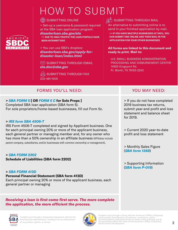## HOW TO SUBMIT

#### **SUBMITTING ONLINE**

> Set-up a username & password required at the SBA loan application program: *[disasterloan.sba.gov/ela](https://disasterloan.sba.gov/ela)*  **>> DUE TO HIGH TRAFFIC THE LOAN PORTALS HAVE BEEN INTERMITTENT.**

> You can use SBA's dropbox: *[disasterloan.sba.gov/apply-for](http://disasterloan.sba.gov/apply-for-disaster-loan/index.html)[disaster-loan/index.html](http://disasterloan.sba.gov/apply-for-disaster-loan/index.html)*

 $\infty$  SUBMITTING THROUGH FMAIL *[ela.doc@sba.gov](mailto:ela.doc%40sba.gov?subject=)*

**WHAT YOU AT SUBMITTING THROUGH FAX** 202-481-1505

#### FORMS YOU'LL NEED: YOU MAY NEED:

#### **>** *[SBA FORM 5](https://www.norcalsbdc.org//sites/default/files/000cv19_Form5.pdf)* **[ OR** *[FORM 5 C](https://www.norcalsbdc.org/sites/default/files/000cv19_Form5C_soleprop.pdf)* **for Sole Props ]**

Completed SBA loan application (SBA form 5). For sole proprietors/home-based businesses, fill out Form 5c.

#### **>** *[IRS form SBA 4506-T](https://www.norcalsbdc.org//sites/default/files/000cv19_f4506t.pdf)*

A M E R I C A<sup> T</sup> S

**AIIFORNIA** 

IRS Form 4506-T completed and signed by Applicant business. One for each principal owning 20% or more of the applicant business, each general partner or managing member and, for any owner who has more than a 50% ownership in an affiliate business (Affiliates include parent company, subsidiaries, and/or businesses with common ownership or management).

#### **>** *[SBA FORM 2202](https://www.norcalsbdc.org//sites/default/files/000cv19_ELA0-Liabilities.pdf)*

**Schedule of Liabilities (SBA form 2202)**

#### **>** *[SBA FORM 413D](https://www.norcalsbdc.org//sites/default/files/000cv19_ELA0-Personal_Financial_Statement.pdf)*

#### **Personal Financial Statement (SBA form 413D)**

Each principal owning 20% or more of the applicant business, each general partner or managing

*Receiving a loan is first come first serve. The more complete the application, the more efficient the process.*





#### $\mathbb{G}^6$  SUBMITTING THROUGH MAIL

An alternative to submitting online is to send in your finished application by mail. **>> IF YOU HAVE MULTIPLE BUSINESSES AT 100%, YOU CAN SUBMIT ONE ONLINE AND THEN MAIL-IN THE APPLICATION FOR YOUR OTHER BUSINESSES** 

#### **All forms are linked to this document and ready to print. Mail to:**

U.S. SMALL BUSINESS ADMINISTRATION PROCESSING AND DISBURSEMENT CENTER 14925 Kingsport Rd. Ft. Worth, TX 76155-2243

> If you do not have completed 2019 business tax returns, submit year-end profit and loss statement and balance sheet for 2019.

> Current 2020 year-to-date profit and loss statement

> Monthly Sales Figure (*[SBA form 1368](https://www.norcalsbdc.org//sites/default/files/000cv19_ELA0-PAL_for_EIDL_0.pdf)*)

> Supporting Information (*[SBA form P-019](https://www.norcalsbdc.org/sites/default/files/000cv19_EIDL_P-019_Add-Info.pdf)*)